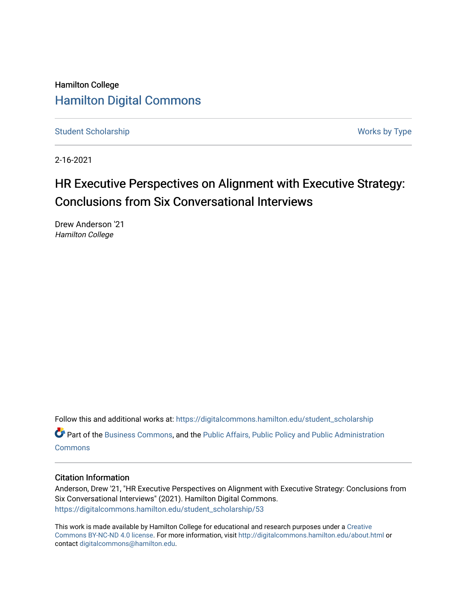Hamilton College [Hamilton Digital Commons](https://digitalcommons.hamilton.edu/) 

[Student Scholarship](https://digitalcommons.hamilton.edu/student_scholarship) Works by Type

2-16-2021

## HR Executive Perspectives on Alignment with Executive Strategy: Conclusions from Six Conversational Interviews

Drew Anderson '21 Hamilton College

Follow this and additional works at: [https://digitalcommons.hamilton.edu/student\\_scholarship](https://digitalcommons.hamilton.edu/student_scholarship?utm_source=digitalcommons.hamilton.edu%2Fstudent_scholarship%2F53&utm_medium=PDF&utm_campaign=PDFCoverPages) 

Part of the [Business Commons](http://network.bepress.com/hgg/discipline/622?utm_source=digitalcommons.hamilton.edu%2Fstudent_scholarship%2F53&utm_medium=PDF&utm_campaign=PDFCoverPages), and the [Public Affairs, Public Policy and Public Administration](http://network.bepress.com/hgg/discipline/393?utm_source=digitalcommons.hamilton.edu%2Fstudent_scholarship%2F53&utm_medium=PDF&utm_campaign=PDFCoverPages) [Commons](http://network.bepress.com/hgg/discipline/393?utm_source=digitalcommons.hamilton.edu%2Fstudent_scholarship%2F53&utm_medium=PDF&utm_campaign=PDFCoverPages)

## Citation Information

Anderson, Drew '21, "HR Executive Perspectives on Alignment with Executive Strategy: Conclusions from Six Conversational Interviews" (2021). Hamilton Digital Commons. [https://digitalcommons.hamilton.edu/student\\_scholarship/53](https://digitalcommons.hamilton.edu/student_scholarship/53?utm_source=digitalcommons.hamilton.edu%2Fstudent_scholarship%2F53&utm_medium=PDF&utm_campaign=PDFCoverPages)

This work is made available by Hamilton College for educational and research purposes under a [Creative](https://creativecommons.org/licenses/by-nc-nd/4.0/)  [Commons BY-NC-ND 4.0 license.](https://creativecommons.org/licenses/by-nc-nd/4.0/) For more information, visit <http://digitalcommons.hamilton.edu/about.html> or contact [digitalcommons@hamilton.edu.](mailto:digitalcommons@hamilton.edu)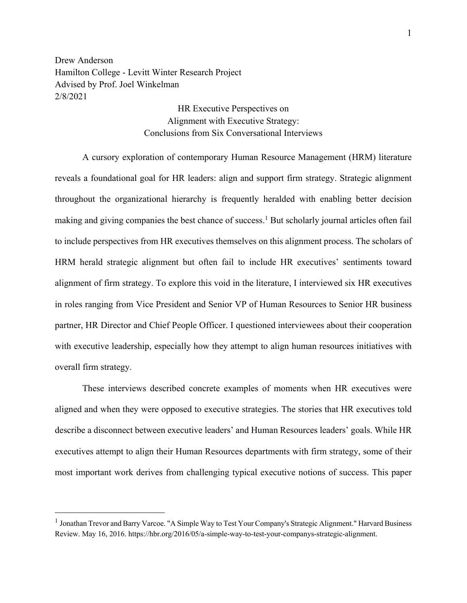Drew Anderson Hamilton College - Levitt Winter Research Project Advised by Prof. Joel Winkelman 2/8/2021

> HR Executive Perspectives on Alignment with Executive Strategy: Conclusions from Six Conversational Interviews

A cursory exploration of contemporary Human Resource Management (HRM) literature reveals a foundational goal for HR leaders: align and support firm strategy. Strategic alignment throughout the organizational hierarchy is frequently heralded with enabling better decision making and giving companies the best chance of success. <sup>1</sup> But scholarly journal articles often fail to include perspectives from HR executives themselves on this alignment process. The scholars of HRM herald strategic alignment but often fail to include HR executives' sentiments toward alignment of firm strategy. To explore this void in the literature, I interviewed six HR executives in roles ranging from Vice President and Senior VP of Human Resources to Senior HR business partner, HR Director and Chief People Officer. I questioned interviewees about their cooperation with executive leadership, especially how they attempt to align human resources initiatives with overall firm strategy.

These interviews described concrete examples of moments when HR executives were aligned and when they were opposed to executive strategies. The stories that HR executives told describe a disconnect between executive leaders' and Human Resources leaders' goals. While HR executives attempt to align their Human Resources departments with firm strategy, some of their most important work derives from challenging typical executive notions of success. This paper

<sup>&</sup>lt;sup>1</sup> Jonathan Trevor and Barry Varcoe. "A Simple Way to Test Your Company's Strategic Alignment." Harvard Business Review. May 16, 2016. https://hbr.org/2016/05/a-simple-way-to-test-your-companys-strategic-alignment.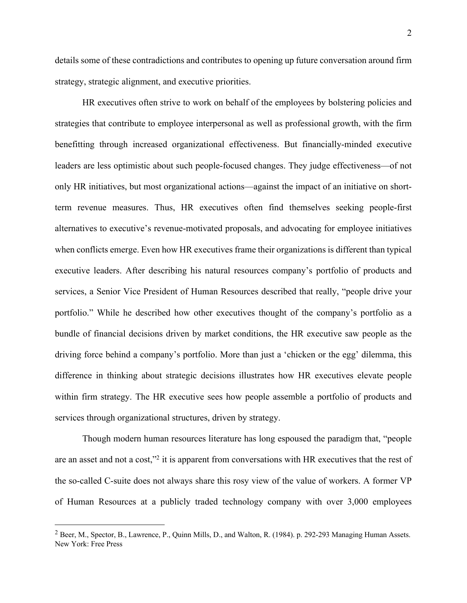details some of these contradictions and contributes to opening up future conversation around firm strategy, strategic alignment, and executive priorities.

HR executives often strive to work on behalf of the employees by bolstering policies and strategies that contribute to employee interpersonal as well as professional growth, with the firm benefitting through increased organizational effectiveness. But financially-minded executive leaders are less optimistic about such people-focused changes. They judge effectiveness—of not only HR initiatives, but most organizational actions—against the impact of an initiative on shortterm revenue measures. Thus, HR executives often find themselves seeking people-first alternatives to executive's revenue-motivated proposals, and advocating for employee initiatives when conflicts emerge. Even how HR executives frame their organizations is different than typical executive leaders. After describing his natural resources company's portfolio of products and services, a Senior Vice President of Human Resources described that really, "people drive your portfolio." While he described how other executives thought of the company's portfolio as a bundle of financial decisions driven by market conditions, the HR executive saw people as the driving force behind a company's portfolio. More than just a 'chicken or the egg' dilemma, this difference in thinking about strategic decisions illustrates how HR executives elevate people within firm strategy. The HR executive sees how people assemble a portfolio of products and services through organizational structures, driven by strategy.

Though modern human resources literature has long espoused the paradigm that, "people are an asset and not a cost,"2 it is apparent from conversations with HR executives that the rest of the so-called C-suite does not always share this rosy view of the value of workers. A former VP of Human Resources at a publicly traded technology company with over 3,000 employees

 $2$  Beer, M., Spector, B., Lawrence, P., Quinn Mills, D., and Walton, R. (1984). p. 292-293 Managing Human Assets. New York: Free Press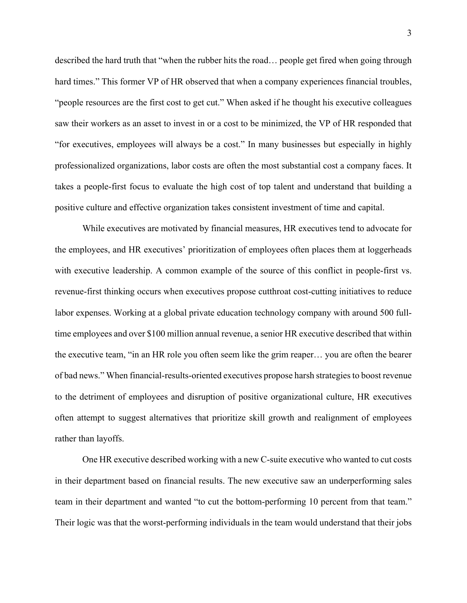described the hard truth that "when the rubber hits the road… people get fired when going through hard times." This former VP of HR observed that when a company experiences financial troubles, "people resources are the first cost to get cut." When asked if he thought his executive colleagues saw their workers as an asset to invest in or a cost to be minimized, the VP of HR responded that "for executives, employees will always be a cost." In many businesses but especially in highly professionalized organizations, labor costs are often the most substantial cost a company faces. It takes a people-first focus to evaluate the high cost of top talent and understand that building a positive culture and effective organization takes consistent investment of time and capital.

While executives are motivated by financial measures, HR executives tend to advocate for the employees, and HR executives' prioritization of employees often places them at loggerheads with executive leadership. A common example of the source of this conflict in people-first vs. revenue-first thinking occurs when executives propose cutthroat cost-cutting initiatives to reduce labor expenses. Working at a global private education technology company with around 500 fulltime employees and over \$100 million annual revenue, a senior HR executive described that within the executive team, "in an HR role you often seem like the grim reaper… you are often the bearer of bad news." When financial-results-oriented executives propose harsh strategies to boost revenue to the detriment of employees and disruption of positive organizational culture, HR executives often attempt to suggest alternatives that prioritize skill growth and realignment of employees rather than layoffs.

One HR executive described working with a new C-suite executive who wanted to cut costs in their department based on financial results. The new executive saw an underperforming sales team in their department and wanted "to cut the bottom-performing 10 percent from that team." Their logic was that the worst-performing individuals in the team would understand that their jobs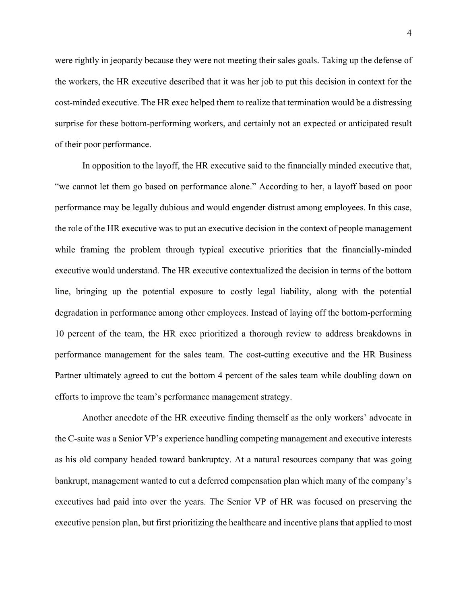were rightly in jeopardy because they were not meeting their sales goals. Taking up the defense of the workers, the HR executive described that it was her job to put this decision in context for the cost-minded executive. The HR exec helped them to realize that termination would be a distressing surprise for these bottom-performing workers, and certainly not an expected or anticipated result of their poor performance.

In opposition to the layoff, the HR executive said to the financially minded executive that, "we cannot let them go based on performance alone." According to her, a layoff based on poor performance may be legally dubious and would engender distrust among employees. In this case, the role of the HR executive was to put an executive decision in the context of people management while framing the problem through typical executive priorities that the financially-minded executive would understand. The HR executive contextualized the decision in terms of the bottom line, bringing up the potential exposure to costly legal liability, along with the potential degradation in performance among other employees. Instead of laying off the bottom-performing 10 percent of the team, the HR exec prioritized a thorough review to address breakdowns in performance management for the sales team. The cost-cutting executive and the HR Business Partner ultimately agreed to cut the bottom 4 percent of the sales team while doubling down on efforts to improve the team's performance management strategy.

Another anecdote of the HR executive finding themself as the only workers' advocate in the C-suite was a Senior VP's experience handling competing management and executive interests as his old company headed toward bankruptcy. At a natural resources company that was going bankrupt, management wanted to cut a deferred compensation plan which many of the company's executives had paid into over the years. The Senior VP of HR was focused on preserving the executive pension plan, but first prioritizing the healthcare and incentive plans that applied to most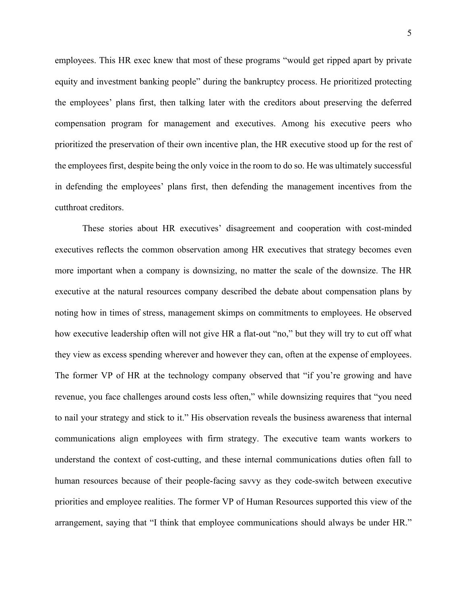employees. This HR exec knew that most of these programs "would get ripped apart by private equity and investment banking people" during the bankruptcy process. He prioritized protecting the employees' plans first, then talking later with the creditors about preserving the deferred compensation program for management and executives. Among his executive peers who prioritized the preservation of their own incentive plan, the HR executive stood up for the rest of the employees first, despite being the only voice in the room to do so. He was ultimately successful in defending the employees' plans first, then defending the management incentives from the cutthroat creditors.

These stories about HR executives' disagreement and cooperation with cost-minded executives reflects the common observation among HR executives that strategy becomes even more important when a company is downsizing, no matter the scale of the downsize. The HR executive at the natural resources company described the debate about compensation plans by noting how in times of stress, management skimps on commitments to employees. He observed how executive leadership often will not give HR a flat-out "no," but they will try to cut off what they view as excess spending wherever and however they can, often at the expense of employees. The former VP of HR at the technology company observed that "if you're growing and have revenue, you face challenges around costs less often," while downsizing requires that "you need to nail your strategy and stick to it." His observation reveals the business awareness that internal communications align employees with firm strategy. The executive team wants workers to understand the context of cost-cutting, and these internal communications duties often fall to human resources because of their people-facing savvy as they code-switch between executive priorities and employee realities. The former VP of Human Resources supported this view of the arrangement, saying that "I think that employee communications should always be under HR."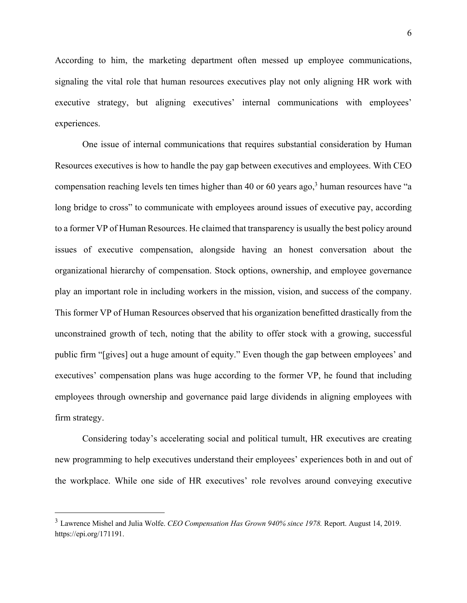According to him, the marketing department often messed up employee communications, signaling the vital role that human resources executives play not only aligning HR work with executive strategy, but aligning executives' internal communications with employees' experiences.

One issue of internal communications that requires substantial consideration by Human Resources executives is how to handle the pay gap between executives and employees. With CEO compensation reaching levels ten times higher than 40 or 60 years ago,<sup>3</sup> human resources have "a long bridge to cross" to communicate with employees around issues of executive pay, according to a former VP of Human Resources. He claimed that transparency is usually the best policy around issues of executive compensation, alongside having an honest conversation about the organizational hierarchy of compensation. Stock options, ownership, and employee governance play an important role in including workers in the mission, vision, and success of the company. This former VP of Human Resources observed that his organization benefitted drastically from the unconstrained growth of tech, noting that the ability to offer stock with a growing, successful public firm "[gives] out a huge amount of equity." Even though the gap between employees' and executives' compensation plans was huge according to the former VP, he found that including employees through ownership and governance paid large dividends in aligning employees with firm strategy.

Considering today's accelerating social and political tumult, HR executives are creating new programming to help executives understand their employees' experiences both in and out of the workplace. While one side of HR executives' role revolves around conveying executive

<sup>3</sup> Lawrence Mishel and Julia Wolfe. *CEO Compensation Has Grown 940% since 1978.* Report. August 14, 2019. https://epi.org/171191.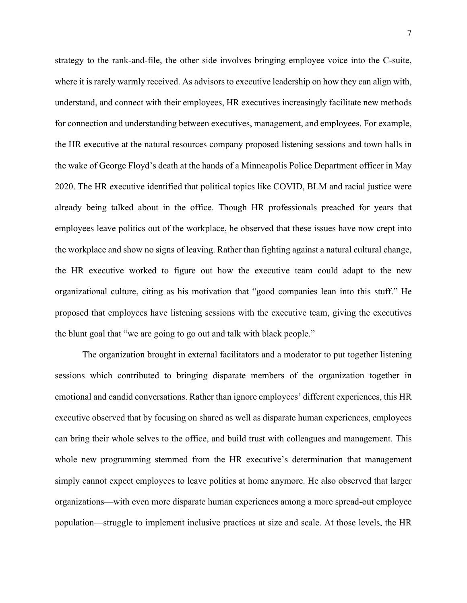strategy to the rank-and-file, the other side involves bringing employee voice into the C-suite, where it is rarely warmly received. As advisors to executive leadership on how they can align with, understand, and connect with their employees, HR executives increasingly facilitate new methods for connection and understanding between executives, management, and employees. For example, the HR executive at the natural resources company proposed listening sessions and town halls in the wake of George Floyd's death at the hands of a Minneapolis Police Department officer in May 2020. The HR executive identified that political topics like COVID, BLM and racial justice were already being talked about in the office. Though HR professionals preached for years that employees leave politics out of the workplace, he observed that these issues have now crept into the workplace and show no signs of leaving. Rather than fighting against a natural cultural change, the HR executive worked to figure out how the executive team could adapt to the new organizational culture, citing as his motivation that "good companies lean into this stuff." He proposed that employees have listening sessions with the executive team, giving the executives the blunt goal that "we are going to go out and talk with black people."

The organization brought in external facilitators and a moderator to put together listening sessions which contributed to bringing disparate members of the organization together in emotional and candid conversations. Rather than ignore employees' different experiences, this HR executive observed that by focusing on shared as well as disparate human experiences, employees can bring their whole selves to the office, and build trust with colleagues and management. This whole new programming stemmed from the HR executive's determination that management simply cannot expect employees to leave politics at home anymore. He also observed that larger organizations—with even more disparate human experiences among a more spread-out employee population—struggle to implement inclusive practices at size and scale. At those levels, the HR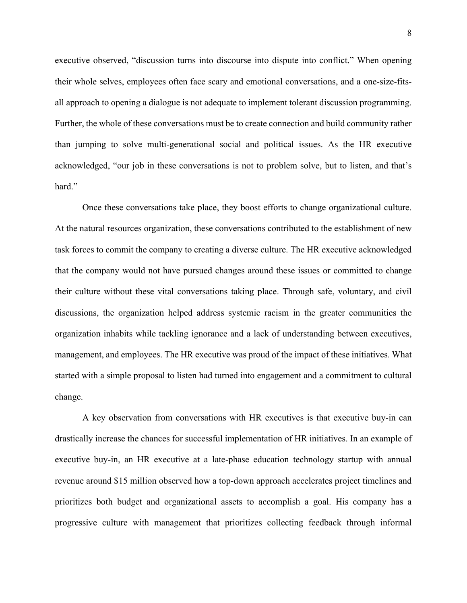executive observed, "discussion turns into discourse into dispute into conflict." When opening their whole selves, employees often face scary and emotional conversations, and a one-size-fitsall approach to opening a dialogue is not adequate to implement tolerant discussion programming. Further, the whole of these conversations must be to create connection and build community rather than jumping to solve multi-generational social and political issues. As the HR executive acknowledged, "our job in these conversations is not to problem solve, but to listen, and that's hard."

Once these conversations take place, they boost efforts to change organizational culture. At the natural resources organization, these conversations contributed to the establishment of new task forces to commit the company to creating a diverse culture. The HR executive acknowledged that the company would not have pursued changes around these issues or committed to change their culture without these vital conversations taking place. Through safe, voluntary, and civil discussions, the organization helped address systemic racism in the greater communities the organization inhabits while tackling ignorance and a lack of understanding between executives, management, and employees. The HR executive was proud of the impact of these initiatives. What started with a simple proposal to listen had turned into engagement and a commitment to cultural change.

A key observation from conversations with HR executives is that executive buy-in can drastically increase the chances for successful implementation of HR initiatives. In an example of executive buy-in, an HR executive at a late-phase education technology startup with annual revenue around \$15 million observed how a top-down approach accelerates project timelines and prioritizes both budget and organizational assets to accomplish a goal. His company has a progressive culture with management that prioritizes collecting feedback through informal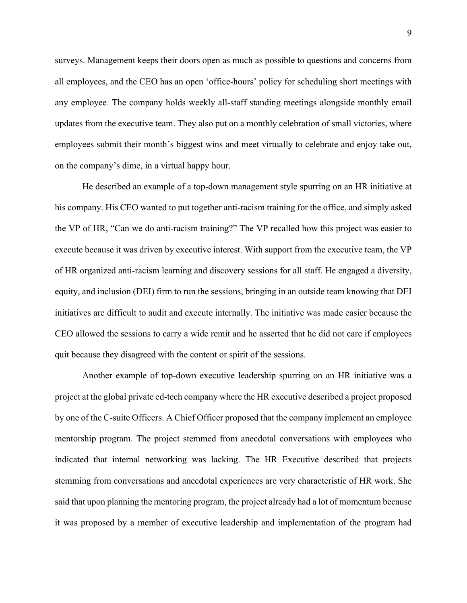surveys. Management keeps their doors open as much as possible to questions and concerns from all employees, and the CEO has an open 'office-hours' policy for scheduling short meetings with any employee. The company holds weekly all-staff standing meetings alongside monthly email updates from the executive team. They also put on a monthly celebration of small victories, where employees submit their month's biggest wins and meet virtually to celebrate and enjoy take out, on the company's dime, in a virtual happy hour.

He described an example of a top-down management style spurring on an HR initiative at his company. His CEO wanted to put together anti-racism training for the office, and simply asked the VP of HR, "Can we do anti-racism training?" The VP recalled how this project was easier to execute because it was driven by executive interest. With support from the executive team, the VP of HR organized anti-racism learning and discovery sessions for all staff. He engaged a diversity, equity, and inclusion (DEI) firm to run the sessions, bringing in an outside team knowing that DEI initiatives are difficult to audit and execute internally. The initiative was made easier because the CEO allowed the sessions to carry a wide remit and he asserted that he did not care if employees quit because they disagreed with the content or spirit of the sessions.

Another example of top-down executive leadership spurring on an HR initiative was a project at the global private ed-tech company where the HR executive described a project proposed by one of the C-suite Officers. A Chief Officer proposed that the company implement an employee mentorship program. The project stemmed from anecdotal conversations with employees who indicated that internal networking was lacking. The HR Executive described that projects stemming from conversations and anecdotal experiences are very characteristic of HR work. She said that upon planning the mentoring program, the project already had a lot of momentum because it was proposed by a member of executive leadership and implementation of the program had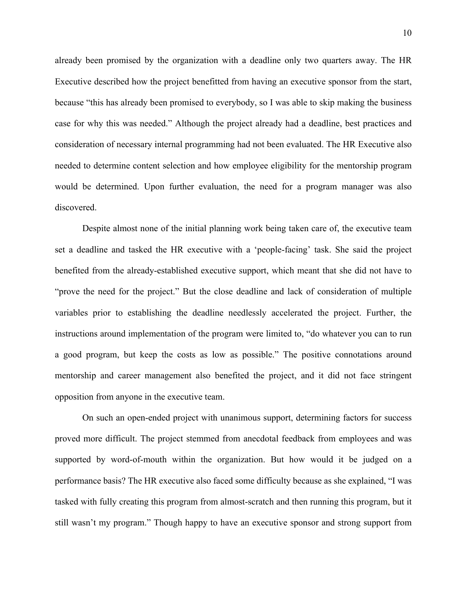already been promised by the organization with a deadline only two quarters away. The HR Executive described how the project benefitted from having an executive sponsor from the start, because "this has already been promised to everybody, so I was able to skip making the business case for why this was needed." Although the project already had a deadline, best practices and consideration of necessary internal programming had not been evaluated. The HR Executive also needed to determine content selection and how employee eligibility for the mentorship program would be determined. Upon further evaluation, the need for a program manager was also discovered.

Despite almost none of the initial planning work being taken care of, the executive team set a deadline and tasked the HR executive with a 'people-facing' task. She said the project benefited from the already-established executive support, which meant that she did not have to "prove the need for the project." But the close deadline and lack of consideration of multiple variables prior to establishing the deadline needlessly accelerated the project. Further, the instructions around implementation of the program were limited to, "do whatever you can to run a good program, but keep the costs as low as possible." The positive connotations around mentorship and career management also benefited the project, and it did not face stringent opposition from anyone in the executive team.

On such an open-ended project with unanimous support, determining factors for success proved more difficult. The project stemmed from anecdotal feedback from employees and was supported by word-of-mouth within the organization. But how would it be judged on a performance basis? The HR executive also faced some difficulty because as she explained, "I was tasked with fully creating this program from almost-scratch and then running this program, but it still wasn't my program." Though happy to have an executive sponsor and strong support from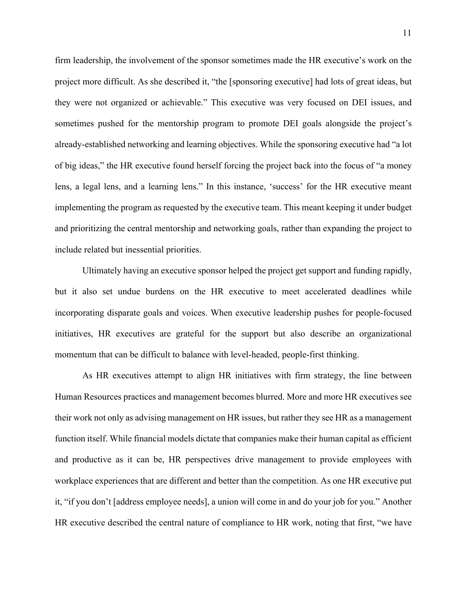firm leadership, the involvement of the sponsor sometimes made the HR executive's work on the project more difficult. As she described it, "the [sponsoring executive] had lots of great ideas, but they were not organized or achievable." This executive was very focused on DEI issues, and sometimes pushed for the mentorship program to promote DEI goals alongside the project's already-established networking and learning objectives. While the sponsoring executive had "a lot of big ideas," the HR executive found herself forcing the project back into the focus of "a money lens, a legal lens, and a learning lens." In this instance, 'success' for the HR executive meant implementing the program as requested by the executive team. This meant keeping it under budget and prioritizing the central mentorship and networking goals, rather than expanding the project to include related but inessential priorities.

Ultimately having an executive sponsor helped the project get support and funding rapidly, but it also set undue burdens on the HR executive to meet accelerated deadlines while incorporating disparate goals and voices. When executive leadership pushes for people-focused initiatives, HR executives are grateful for the support but also describe an organizational momentum that can be difficult to balance with level-headed, people-first thinking.

As HR executives attempt to align HR initiatives with firm strategy, the line between Human Resources practices and management becomes blurred. More and more HR executives see their work not only as advising management on HR issues, but rather they see HR as a management function itself. While financial models dictate that companies make their human capital as efficient and productive as it can be, HR perspectives drive management to provide employees with workplace experiences that are different and better than the competition. As one HR executive put it, "if you don't [address employee needs], a union will come in and do your job for you." Another HR executive described the central nature of compliance to HR work, noting that first, "we have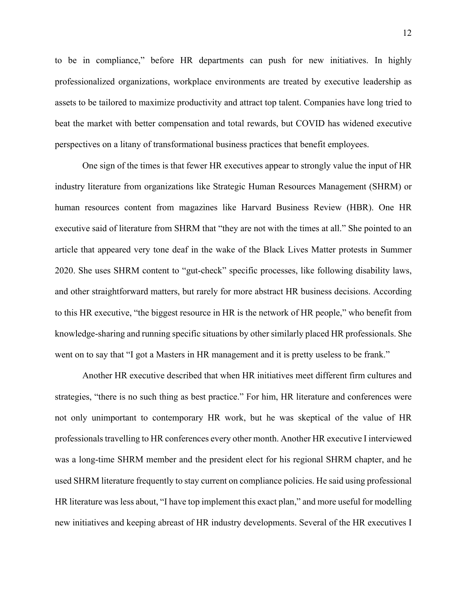to be in compliance," before HR departments can push for new initiatives. In highly professionalized organizations, workplace environments are treated by executive leadership as assets to be tailored to maximize productivity and attract top talent. Companies have long tried to beat the market with better compensation and total rewards, but COVID has widened executive perspectives on a litany of transformational business practices that benefit employees.

One sign of the times is that fewer HR executives appear to strongly value the input of HR industry literature from organizations like Strategic Human Resources Management (SHRM) or human resources content from magazines like Harvard Business Review (HBR). One HR executive said of literature from SHRM that "they are not with the times at all." She pointed to an article that appeared very tone deaf in the wake of the Black Lives Matter protests in Summer 2020. She uses SHRM content to "gut-check" specific processes, like following disability laws, and other straightforward matters, but rarely for more abstract HR business decisions. According to this HR executive, "the biggest resource in HR is the network of HR people," who benefit from knowledge-sharing and running specific situations by other similarly placed HR professionals. She went on to say that "I got a Masters in HR management and it is pretty useless to be frank."

Another HR executive described that when HR initiatives meet different firm cultures and strategies, "there is no such thing as best practice." For him, HR literature and conferences were not only unimportant to contemporary HR work, but he was skeptical of the value of HR professionals travelling to HR conferences every other month. Another HR executive I interviewed was a long-time SHRM member and the president elect for his regional SHRM chapter, and he used SHRM literature frequently to stay current on compliance policies. He said using professional HR literature was less about, "I have top implement this exact plan," and more useful for modelling new initiatives and keeping abreast of HR industry developments. Several of the HR executives I